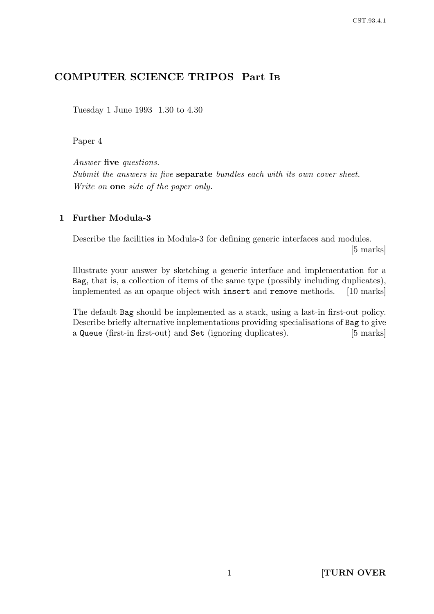# COMPUTER SCIENCE TRIPOS Part I<sup>B</sup>

Tuesday 1 June 1993 1.30 to 4.30

#### Paper 4

Answer five questions.

Submit the answers in five **separate** bundles each with its own cover sheet. Write on one side of the paper only.

#### 1 Further Modula-3

Describe the facilities in Modula-3 for defining generic interfaces and modules.

[5 marks]

Illustrate your answer by sketching a generic interface and implementation for a Bag, that is, a collection of items of the same type (possibly including duplicates), implemented as an opaque object with insert and remove methods. [10 marks]

The default Bag should be implemented as a stack, using a last-in first-out policy. Describe briefly alternative implementations providing specialisations of Bag to give a Queue (first-in first-out) and Set (ignoring duplicates). [5 marks]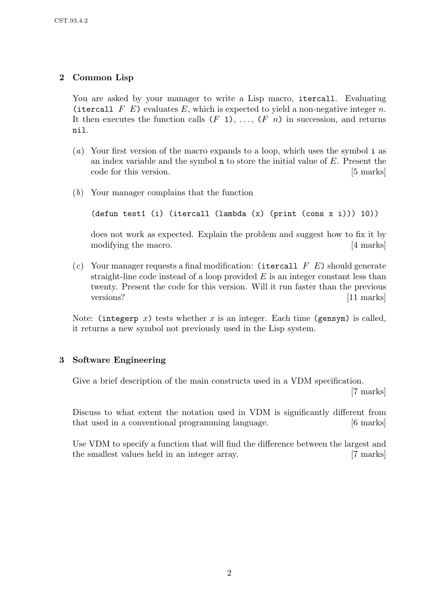# 2 Common Lisp

You are asked by your manager to write a Lisp macro, itercall. Evaluating (itercall F E) evaluates E, which is expected to yield a non-negative integer n. It then executes the function calls  $(F_1), \ldots, (F_n)$  in succession, and returns nil.

- (a) Your first version of the macro expands to a loop, which uses the symbol i as an index variable and the symbol n to store the initial value of E. Present the code for this version. [5 marks]
- (b) Your manager complains that the function

```
(defun test1 (i) (itercall (lambda (x) (print (cons x i))) 10))
```
does not work as expected. Explain the problem and suggest how to fix it by modifying the macro. [4 marks]

(c) Your manager requests a final modification: (itercall  $F E$ ) should generate straight-line code instead of a loop provided  $E$  is an integer constant less than twenty. Present the code for this version. Will it run faster than the previous versions? [11 marks]

Note: (integerp x) tests whether x is an integer. Each time (gensym) is called, it returns a new symbol not previously used in the Lisp system.

## 3 Software Engineering

Give a brief description of the main constructs used in a VDM specification.

[7 marks]

Discuss to what extent the notation used in VDM is significantly different from that used in a conventional programming language. [6 marks]

Use VDM to specify a function that will find the difference between the largest and the smallest values held in an integer array. [7 marks]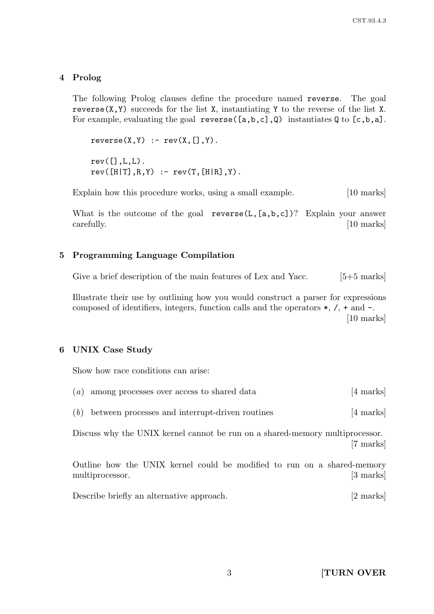### 4 Prolog

The following Prolog clauses define the procedure named reverse. The goal reverse $(X, Y)$  succeeds for the list X, instantiating Y to the reverse of the list X. For example, evaluating the goal reverse  $([a,b,c],\mathbb{Q})$  instantiates  $\mathbb{Q}$  to  $[c,b,a]$ .

 $reverse(X,Y) := rev(X,[],Y)$ .  $rev([], L, L)$ .  $rev([H|T], R, Y)$  :-  $rev(T, [H|R], Y)$ .

Explain how this procedure works, using a small example. [10 marks]

What is the outcome of the goal reverse( $L$ ,  $[a, b, c]$ )? Explain your answer carefully. [10 marks]

#### 5 Programming Language Compilation

Give a brief description of the main features of Lex and Yacc. [5+5 marks]

Illustrate their use by outlining how you would construct a parser for expressions composed of identifiers, integers, function calls and the operators  $*, \, \lambda, + \, \text{and} - \, \lambda$ . [10 marks]

#### 6 UNIX Case Study

Show how race conditions can arise:

|  | $(a)$ among processes over access to shared data | [4 marks] |
|--|--------------------------------------------------|-----------|
|  |                                                  |           |

|  |  | $(b)$ between processes and interrupt-driven routines | [4 marks] |  |
|--|--|-------------------------------------------------------|-----------|--|
|--|--|-------------------------------------------------------|-----------|--|

Discuss why the UNIX kernel cannot be run on a shared-memory multiprocessor. [7 marks]

Outline how the UNIX kernel could be modified to run on a shared-memory multiprocessor. [3 marks]

Describe briefly an alternative approach. [2 marks]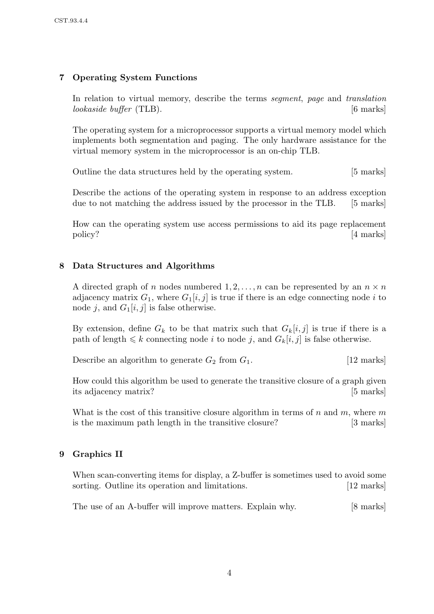## 7 Operating System Functions

In relation to virtual memory, describe the terms segment, page and translation lookaside buffer (TLB). [6 marks]

The operating system for a microprocessor supports a virtual memory model which implements both segmentation and paging. The only hardware assistance for the virtual memory system in the microprocessor is an on-chip TLB.

Outline the data structures held by the operating system. [5 marks]

Describe the actions of the operating system in response to an address exception due to not matching the address issued by the processor in the TLB. [5 marks]

How can the operating system use access permissions to aid its page replacement policy? [4 marks]

## 8 Data Structures and Algorithms

A directed graph of n nodes numbered  $1, 2, \ldots, n$  can be represented by an  $n \times n$ adjacency matrix  $G_1$ , where  $G_1[i, j]$  is true if there is an edge connecting node i to node j, and  $G_1[i, j]$  is false otherwise.

By extension, define  $G_k$  to be that matrix such that  $G_k[i, j]$  is true if there is a path of length  $\leq k$  connecting node i to node j, and  $G_k[i, j]$  is false otherwise.

Describe an algorithm to generate  $G_2$  from  $G_1$ . [12 marks]

How could this algorithm be used to generate the transitive closure of a graph given its adjacency matrix? [5 marks]

What is the cost of this transitive closure algorithm in terms of n and m, where m is the maximum path length in the transitive closure? [3 marks]

## 9 Graphics II

When scan-converting items for display, a Z-buffer is sometimes used to avoid some sorting. Outline its operation and limitations. [12 marks]

The use of an A-buffer will improve matters. Explain why. [8 marks]